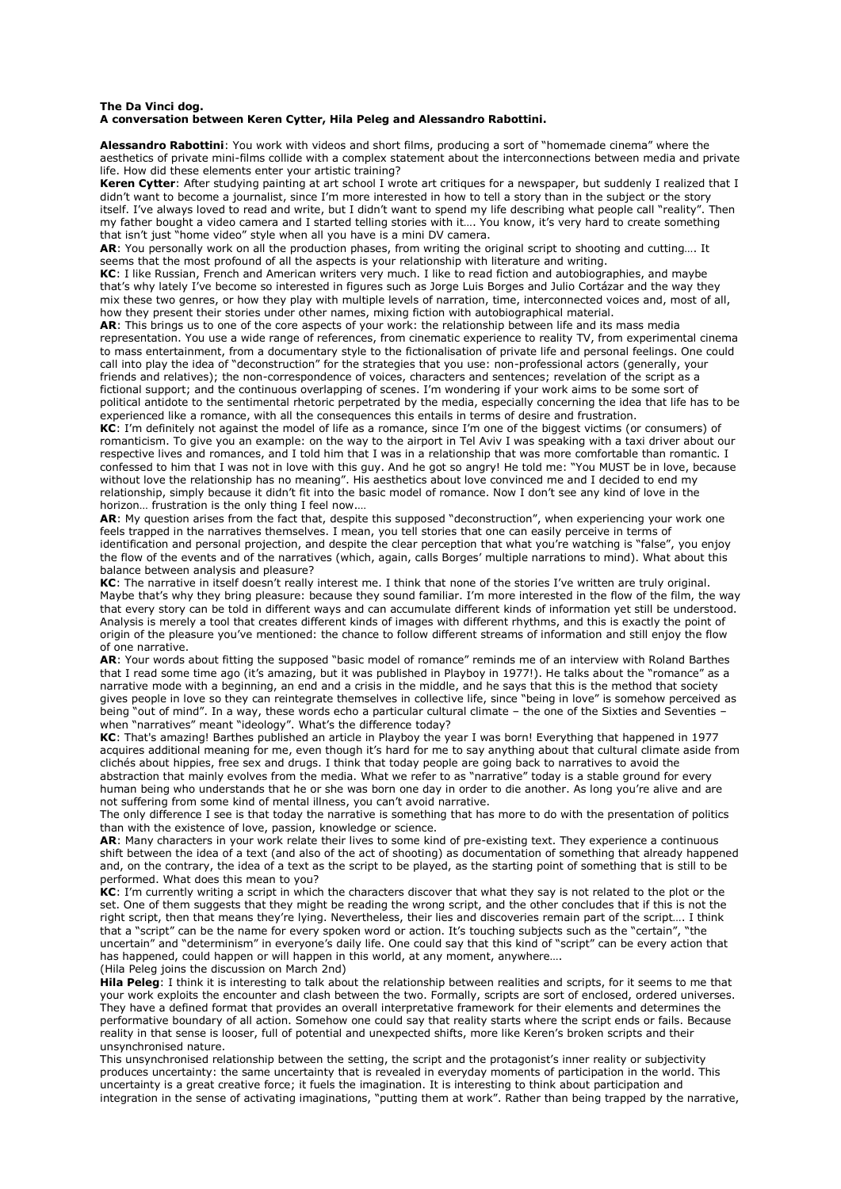## **The Da Vinci dog. A conversation between Keren Cytter, Hila Peleg and Alessandro Rabottini.**

**Alessandro Rabottini**: You work with videos and short films, producing a sort of "homemade cinema" where the aesthetics of private mini-films collide with a complex statement about the interconnections between media and private life. How did these elements enter your artistic training?

**Keren Cytter**: After studying painting at art school I wrote art critiques for a newspaper, but suddenly I realized that I didn't want to become a journalist, since I'm more interested in how to tell a story than in the subject or the story itself. I've always loved to read and write, but I didn't want to spend my life describing what people call "reality". Then my father bought a video camera and I started telling stories with it…. You know, it's very hard to create something that isn't just "home video" style when all you have is a mini DV camera.

**AR**: You personally work on all the production phases, from writing the original script to shooting and cutting…. It seems that the most profound of all the aspects is your relationship with literature and writing.

**KC**: I like Russian, French and American writers very much. I like to read fiction and autobiographies, and maybe that's why lately I've become so interested in figures such as Jorge Luis Borges and Julio Cortázar and the way they mix these two genres, or how they play with multiple levels of narration, time, interconnected voices and, most of all, how they present their stories under other names, mixing fiction with autobiographical material.

**AR**: This brings us to one of the core aspects of your work: the relationship between life and its mass media representation. You use a wide range of references, from cinematic experience to reality TV, from experimental cinema to mass entertainment, from a documentary style to the fictionalisation of private life and personal feelings. One could call into play the idea of "deconstruction" for the strategies that you use: non-professional actors (generally, your friends and relatives); the non-correspondence of voices, characters and sentences; revelation of the script as a fictional support; and the continuous overlapping of scenes. I'm wondering if your work aims to be some sort of political antidote to the sentimental rhetoric perpetrated by the media, especially concerning the idea that life has to be experienced like a romance, with all the consequences this entails in terms of desire and frustration.

**KC**: I'm definitely not against the model of life as a romance, since I'm one of the biggest victims (or consumers) of romanticism. To give you an example: on the way to the airport in Tel Aviv I was speaking with a taxi driver about our respective lives and romances, and I told him that I was in a relationship that was more comfortable than romantic. I confessed to him that I was not in love with this guy. And he got so angry! He told me: "You MUST be in love, because without love the relationship has no meaning". His aesthetics about love convinced me and I decided to end my relationship, simply because it didn't fit into the basic model of romance. Now I don't see any kind of love in the horizon… frustration is the only thing I feel now.…

**AR**: My question arises from the fact that, despite this supposed "deconstruction", when experiencing your work one feels trapped in the narratives themselves. I mean, you tell stories that one can easily perceive in terms of identification and personal projection, and despite the clear perception that what you're watching is "false", you enjoy the flow of the events and of the narratives (which, again, calls Borges' multiple narrations to mind). What about this balance between analysis and pleasure?

**KC**: The narrative in itself doesn't really interest me. I think that none of the stories I've written are truly original. Maybe that's why they bring pleasure: because they sound familiar. I'm more interested in the flow of the film, the way that every story can be told in different ways and can accumulate different kinds of information yet still be understood. Analysis is merely a tool that creates different kinds of images with different rhythms, and this is exactly the point of origin of the pleasure you've mentioned: the chance to follow different streams of information and still enjoy the flow of one narrative.

**AR**: Your words about fitting the supposed "basic model of romance" reminds me of an interview with Roland Barthes that I read some time ago (it's amazing, but it was published in Playboy in 1977!). He talks about the "romance" as a narrative mode with a beginning, an end and a crisis in the middle, and he says that this is the method that society gives people in love so they can reintegrate themselves in collective life, since "being in love" is somehow perceived as being "out of mind". In a way, these words echo a particular cultural climate – the one of the Sixties and Seventies – when "narratives" meant "ideology". What's the difference today?

**KC**: That's amazing! Barthes published an article in Playboy the year I was born! Everything that happened in 1977 acquires additional meaning for me, even though it's hard for me to say anything about that cultural climate aside from clichés about hippies, free sex and drugs. I think that today people are going back to narratives to avoid the abstraction that mainly evolves from the media. What we refer to as "narrative" today is a stable ground for every

human being who understands that he or she was born one day in order to die another. As long you're alive and are not suffering from some kind of mental illness, you can't avoid narrative.

The only difference I see is that today the narrative is something that has more to do with the presentation of politics than with the existence of love, passion, knowledge or science.

**AR**: Many characters in your work relate their lives to some kind of pre-existing text. They experience a continuous shift between the idea of a text (and also of the act of shooting) as documentation of something that already happened and, on the contrary, the idea of a text as the script to be played, as the starting point of something that is still to be performed. What does this mean to you?

**KC**: I'm currently writing a script in which the characters discover that what they say is not related to the plot or the set. One of them suggests that they might be reading the wrong script, and the other concludes that if this is not the right script, then that means they're lying. Nevertheless, their lies and discoveries remain part of the script…. I think that a "script" can be the name for every spoken word or action. It's touching subjects such as the "certain", "the uncertain" and "determinism" in everyone's daily life. One could say that this kind of "script" can be every action that has happened, could happen or will happen in this world, at any moment, anywhere....

(Hila Peleg joins the discussion on March 2nd)

**Hila Peleg**: I think it is interesting to talk about the relationship between realities and scripts, for it seems to me that your work exploits the encounter and clash between the two. Formally, scripts are sort of enclosed, ordered universes. They have a defined format that provides an overall interpretative framework for their elements and determines the performative boundary of all action. Somehow one could say that reality starts where the script ends or fails. Because reality in that sense is looser, full of potential and unexpected shifts, more like Keren's broken scripts and their unsynchronised nature.

This unsynchronised relationship between the setting, the script and the protagonist's inner reality or subjectivity produces uncertainty: the same uncertainty that is revealed in everyday moments of participation in the world. This uncertainty is a great creative force; it fuels the imagination. It is interesting to think about participation and integration in the sense of activating imaginations, "putting them at work". Rather than being trapped by the narrative,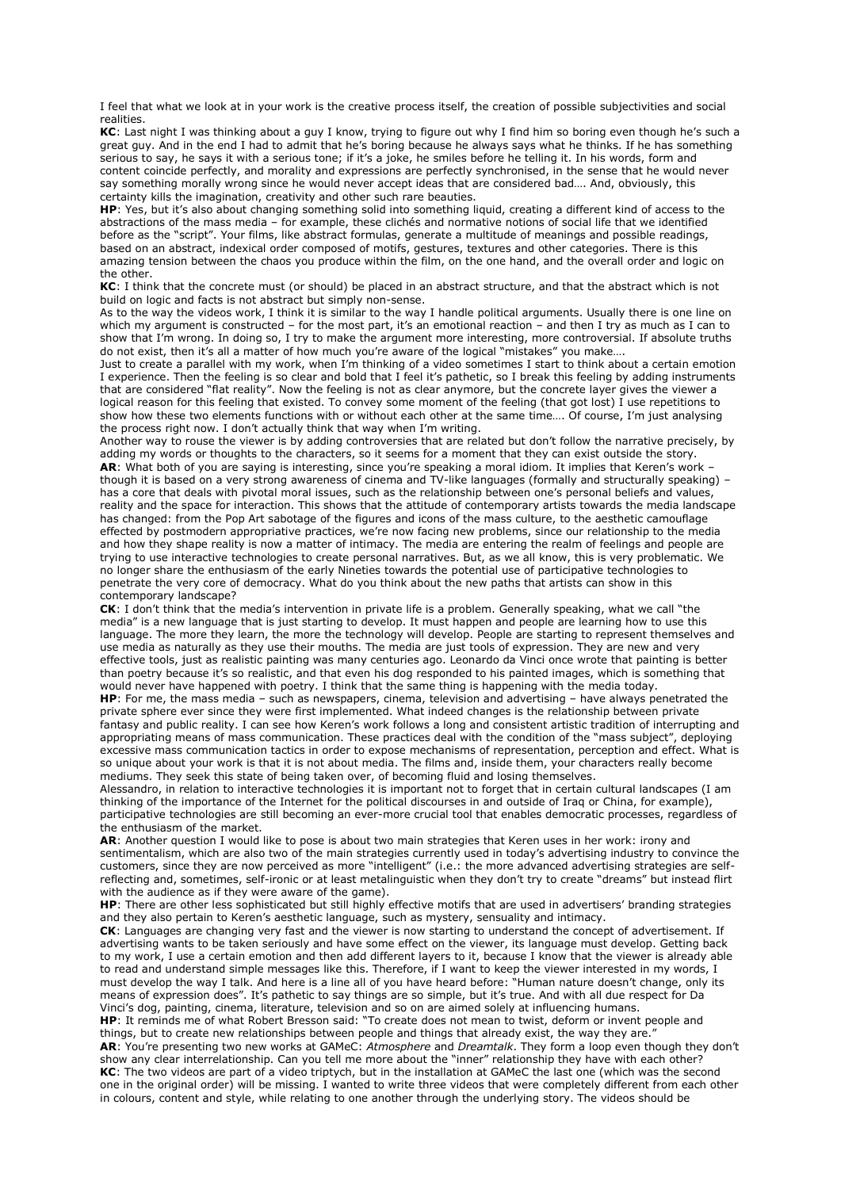I feel that what we look at in your work is the creative process itself, the creation of possible subjectivities and social realities.

**KC**: Last night I was thinking about a guy I know, trying to figure out why I find him so boring even though he's such a great guy. And in the end I had to admit that he's boring because he always says what he thinks. If he has something serious to say, he says it with a serious tone; if it's a joke, he smiles before he telling it. In his words, form and content coincide perfectly, and morality and expressions are perfectly synchronised, in the sense that he would never say something morally wrong since he would never accept ideas that are considered bad…. And, obviously, this certainty kills the imagination, creativity and other such rare beauties.

**HP**: Yes, but it's also about changing something solid into something liquid, creating a different kind of access to the abstractions of the mass media – for example, these clichés and normative notions of social life that we identified before as the "script". Your films, like abstract formulas, generate a multitude of meanings and possible readings, based on an abstract, indexical order composed of motifs, gestures, textures and other categories. There is this amazing tension between the chaos you produce within the film, on the one hand, and the overall order and logic on the other.

**KC**: I think that the concrete must (or should) be placed in an abstract structure, and that the abstract which is not build on logic and facts is not abstract but simply non-sense.

As to the way the videos work, I think it is similar to the way I handle political arguments. Usually there is one line on which my argument is constructed – for the most part, it's an emotional reaction – and then I try as much as I can to show that I'm wrong. In doing so, I try to make the argument more interesting, more controversial. If absolute truths do not exist, then it's all a matter of how much you're aware of the logical "mistakes" you make....

Just to create a parallel with my work, when I'm thinking of a video sometimes I start to think about a certain emotion I experience. Then the feeling is so clear and bold that I feel it's pathetic, so I break this feeling by adding instruments that are considered "flat reality". Now the feeling is not as clear anymore, but the concrete layer gives the viewer a logical reason for this feeling that existed. To convey some moment of the feeling (that got lost) I use repetitions to show how these two elements functions with or without each other at the same time…. Of course, I'm just analysing the process right now. I don't actually think that way when I'm writing.

Another way to rouse the viewer is by adding controversies that are related but don't follow the narrative precisely, by adding my words or thoughts to the characters, so it seems for a moment that they can exist outside the story. **AR**: What both of you are saying is interesting, since you're speaking a moral idiom. It implies that Keren's work – though it is based on a very strong awareness of cinema and TV-like languages (formally and structurally speaking) – has a core that deals with pivotal moral issues, such as the relationship between one's personal beliefs and values, reality and the space for interaction. This shows that the attitude of contemporary artists towards the media landscape has changed: from the Pop Art sabotage of the figures and icons of the mass culture, to the aesthetic camouflage effected by postmodern appropriative practices, we're now facing new problems, since our relationship to the media and how they shape reality is now a matter of intimacy. The media are entering the realm of feelings and people are trying to use interactive technologies to create personal narratives. But, as we all know, this is very problematic. We no longer share the enthusiasm of the early Nineties towards the potential use of participative technologies to penetrate the very core of democracy. What do you think about the new paths that artists can show in this contemporary landscape?

**CK**: I don't think that the media's intervention in private life is a problem. Generally speaking, what we call "the media" is a new language that is just starting to develop. It must happen and people are learning how to use this language. The more they learn, the more the technology will develop. People are starting to represent themselves and use media as naturally as they use their mouths. The media are just tools of expression. They are new and very effective tools, just as realistic painting was many centuries ago. Leonardo da Vinci once wrote that painting is better than poetry because it's so realistic, and that even his dog responded to his painted images, which is something that would never have happened with poetry. I think that the same thing is happening with the media today.

**HP**: For me, the mass media – such as newspapers, cinema, television and advertising – have always penetrated the private sphere ever since they were first implemented. What indeed changes is the relationship between private fantasy and public reality. I can see how Keren's work follows a long and consistent artistic tradition of interrupting and appropriating means of mass communication. These practices deal with the condition of the "mass subject", deploying excessive mass communication tactics in order to expose mechanisms of representation, perception and effect. What is so unique about your work is that it is not about media. The films and, inside them, your characters really become mediums. They seek this state of being taken over, of becoming fluid and losing themselves.

Alessandro, in relation to interactive technologies it is important not to forget that in certain cultural landscapes (I am thinking of the importance of the Internet for the political discourses in and outside of Iraq or China, for example), participative technologies are still becoming an ever-more crucial tool that enables democratic processes, regardless of the enthusiasm of the market.

**AR**: Another question I would like to pose is about two main strategies that Keren uses in her work: irony and sentimentalism, which are also two of the main strategies currently used in today's advertising industry to convince the customers, since they are now perceived as more "intelligent" (i.e.: the more advanced advertising strategies are selfreflecting and, sometimes, self-ironic or at least metalinguistic when they don't try to create "dreams" but instead flirt with the audience as if they were aware of the game).

**HP**: There are other less sophisticated but still highly effective motifs that are used in advertisers' branding strategies and they also pertain to Keren's aesthetic language, such as mystery, sensuality and intimacy.

**CK**: Languages are changing very fast and the viewer is now starting to understand the concept of advertisement. If advertising wants to be taken seriously and have some effect on the viewer, its language must develop. Getting back to my work, I use a certain emotion and then add different layers to it, because I know that the viewer is already able to read and understand simple messages like this. Therefore, if I want to keep the viewer interested in my words, I must develop the way I talk. And here is a line all of you have heard before: "Human nature doesn't change, only its means of expression does". It's pathetic to say things are so simple, but it's true. And with all due respect for Da Vinci's dog, painting, cinema, literature, television and so on are aimed solely at influencing humans.

**HP**: It reminds me of what Robert Bresson said: "To create does not mean to twist, deform or invent people and things, but to create new relationships between people and things that already exist, the way they are."

**AR**: You're presenting two new works at GAMeC: *Atmosphere* and *Dreamtalk*. They form a loop even though they don't show any clear interrelationship. Can you tell me more about the "inner" relationship they have with each other? **KC**: The two videos are part of a video triptych, but in the installation at GAMeC the last one (which was the second one in the original order) will be missing. I wanted to write three videos that were completely different from each other in colours, content and style, while relating to one another through the underlying story. The videos should be